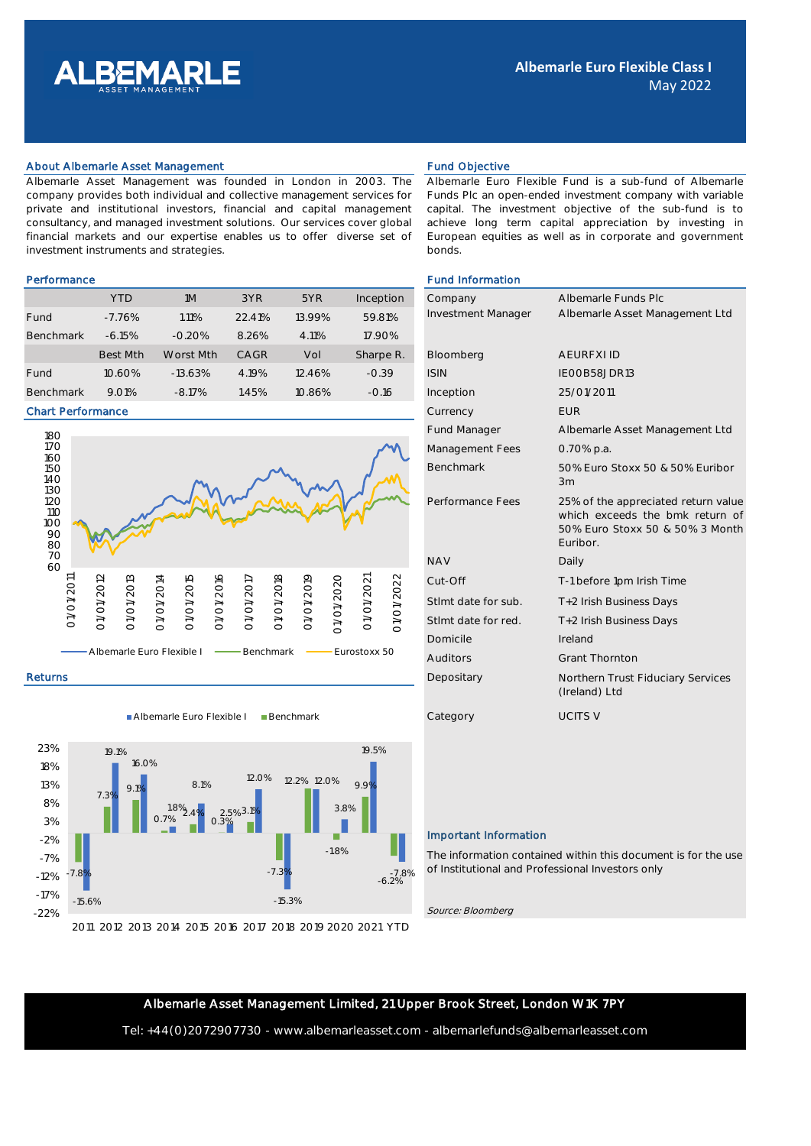

# About Albemarle Asset Management Fund Objective

Albemarle Asset Management was founded in London in 2003. The company provides both individual and collective management services for private and institutional investors, financial and capital management consultancy, and managed investment solutions. Our services cover global financial markets and our expertise enables us to offer diverse set of investment instruments and strategies.

|                  | <b>YTD</b> | 1M        | 3YR    | 5YR    | Inception | Company            | Albemarle Fun     |
|------------------|------------|-----------|--------|--------|-----------|--------------------|-------------------|
| Fund             | $-7.76%$   | 1.11%     | 22.41% | 13.99% | 59.81%    | Investment Manager | Albemarle Asse    |
| <b>Benchmark</b> | $-6.15%$   | $-0.20%$  | 8.26%  | 4.11%  | 17.90%    |                    |                   |
|                  | Best Mth   | Worst Mth | CAGR   | Vol    | Sharpe R. | Bloomberg          | <b>AEURFXI ID</b> |
| Fund             | 10.60%     | $-13.63%$ | 4.19%  | 12.46% | $-0.39$   | <b>ISIN</b>        |                   |
| Benchmark        | 9.01%      | $-8.17%$  | 1.45%  | 10.86% | $-0.16$   | Inception          |                   |

#### Chart Performance



Albemarle Euro Flexible I Benchmark



### 2011 2012 2013 2014 2015 2016 2017 2018 2019 2020 2021 YTD

Albemarle Euro Flexible Fund is a sub-fund of Albemarle Funds Plc an open-ended investment company with variable capital. The investment objective of the sub-fund is to achieve long term capital appreciation by investing in European equities as well as in corporate and government bonds.

## **Performance Fund Information**

| Company             | Albemarle Funds Plc                                                                                                   |
|---------------------|-----------------------------------------------------------------------------------------------------------------------|
| Investment Manager  | Albemarle Asset Management Ltd                                                                                        |
|                     |                                                                                                                       |
| Bloomberg           | <b>AEURFXI ID</b>                                                                                                     |
| <b>ISIN</b>         | IEOOB58JDR13                                                                                                          |
| Inception           | 25/01/2011                                                                                                            |
| Currency            | <b>FUR</b>                                                                                                            |
| <b>Fund Manager</b> | Albemarle Asset Management Ltd                                                                                        |
| Management Fees     | 0.70% p.a.                                                                                                            |
| <b>Benchmark</b>    | 50% Euro Stoxx 50 & 50% Euribor<br>3m                                                                                 |
| Performance Fees    | 25% of the appreciated return value<br>which exceeds the bmk return of<br>50% Euro Stoxx 50 & 50% 3 Month<br>Furibor. |
| <b>NAV</b>          | Daily                                                                                                                 |
| Cut-Off             | T-1 before 1pm Irish Time                                                                                             |
| Stimt date for sub. | T+2 Irish Business Days                                                                                               |
| Stimt date for red. | T+2 Irish Business Days                                                                                               |
| Domicile            | Ireland                                                                                                               |
| Auditors            | <b>Grant Thornton</b>                                                                                                 |
| Depositary          | Northern Trust Fiduciary Services<br>(Ireland) Ltd                                                                    |
| Category            | <b>UCITS V</b>                                                                                                        |

## Important Information

The information contained within this document is for the use of Institutional and Professional Investors only

Source: Bloomberg

## Albemarle Asset Management Limited, 21 Upper Brook Street, London W1K 7PY

Tel: +44(0)2072907730 - www.albemarleasset.com - albemarlefunds@albemarleasset.com